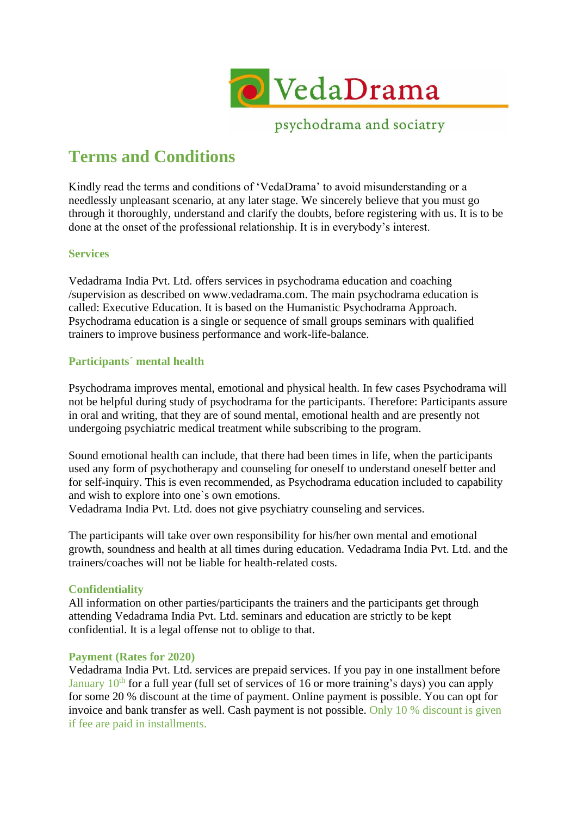

psychodrama and sociatry

# **Terms and Conditions**

Kindly read the terms and conditions of 'VedaDrama' to avoid misunderstanding or a needlessly unpleasant scenario, at any later stage. We sincerely believe that you must go through it thoroughly, understand and clarify the doubts, before registering with us. It is to be done at the onset of the professional relationship. It is in everybody's interest.

# **Services**

Vedadrama India Pvt. Ltd. offers services in psychodrama education and coaching /supervision as described on www.vedadrama.com. The main psychodrama education is called: Executive Education. It is based on the Humanistic Psychodrama Approach. Psychodrama education is a single or sequence of small groups seminars with qualified trainers to improve business performance and work-life-balance.

## **Participants´ mental health**

Psychodrama improves mental, emotional and physical health. In few cases Psychodrama will not be helpful during study of psychodrama for the participants. Therefore: Participants assure in oral and writing, that they are of sound mental, emotional health and are presently not undergoing psychiatric medical treatment while subscribing to the program.

Sound emotional health can include, that there had been times in life, when the participants used any form of psychotherapy and counseling for oneself to understand oneself better and for self-inquiry. This is even recommended, as Psychodrama education included to capability and wish to explore into one`s own emotions.

Vedadrama India Pvt. Ltd. does not give psychiatry counseling and services.

The participants will take over own responsibility for his/her own mental and emotional growth, soundness and health at all times during education. Vedadrama India Pvt. Ltd. and the trainers/coaches will not be liable for health-related costs.

## **Confidentiality**

All information on other parties/participants the trainers and the participants get through attending Vedadrama India Pvt. Ltd. seminars and education are strictly to be kept confidential. It is a legal offense not to oblige to that.

## **Payment (Rates for 2020)**

Vedadrama India Pvt. Ltd. services are prepaid services. If you pay in one installment before January  $10^{th}$  for a full year (full set of services of 16 or more training's days) you can apply for some 20 % discount at the time of payment. Online payment is possible. You can opt for invoice and bank transfer as well. Cash payment is not possible. Only 10 % discount is given if fee are paid in installments.